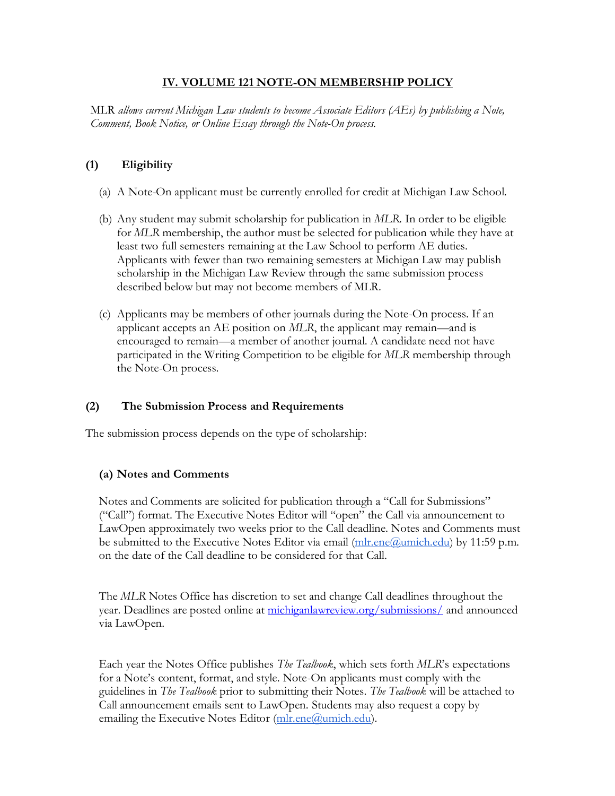## **IV. VOLUME 121 NOTE-ON MEMBERSHIP POLICY**

MLR *allows current Michigan Law students to become Associate Editors (AEs) by publishing a Note, Comment, Book Notice, or Online Essay through the Note-On process.*

## **(1) Eligibility**

- (a) A Note-On applicant must be currently enrolled for credit at Michigan Law School.
- (b) Any student may submit scholarship for publication in *MLR*. In order to be eligible for *MLR* membership, the author must be selected for publication while they have at least two full semesters remaining at the Law School to perform AE duties. Applicants with fewer than two remaining semesters at Michigan Law may publish scholarship in the Michigan Law Review through the same submission process described below but may not become members of MLR.
- (c) Applicants may be members of other journals during the Note-On process. If an applicant accepts an AE position on *MLR*, the applicant may remain—and is encouraged to remain—a member of another journal. A candidate need not have participated in the Writing Competition to be eligible for *MLR* membership through the Note-On process.

#### **(2) The Submission Process and Requirements**

The submission process depends on the type of scholarship:

#### **(a) Notes and Comments**

Notes and Comments are solicited for publication through a "Call for Submissions" ("Call") format. The Executive Notes Editor will "open" the Call via announcement to LawOpen approximately two weeks prior to the Call deadline. Notes and Comments must be submitted to the Executive Notes Editor via email  $(mlr.ene@$ umich.edu) by 11:59 p.m. on the date of the Call deadline to be considered for that Call.

The *MLR* Notes Office has discretion to set and change Call deadlines throughout the year. Deadlines are posted online at [michiganlawreview.org/submissions/](https://michiganlawreview.org/submissions/) and announced via LawOpen.

Each year the Notes Office publishes *The Tealbook*, which sets forth *MLR*'s expectations for a Note's content, format, and style. Note-On applicants must comply with the guidelines in *The Tealbook* prior to submitting their Notes. *The Tealbook* will be attached to Call announcement emails sent to LawOpen. Students may also request a copy by emailing the Executive Notes Editor [\(mlr.ene@umich.edu\)](mailto:mlr.ene@umich.edu).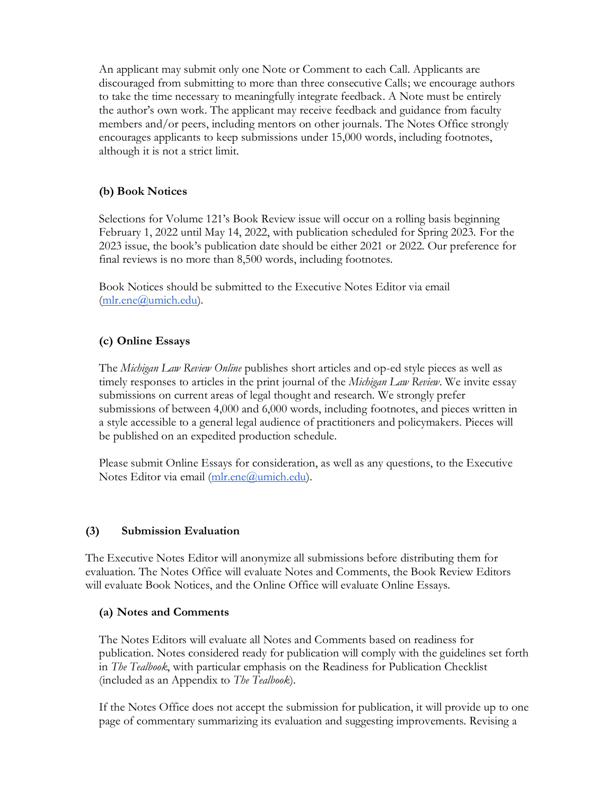An applicant may submit only one Note or Comment to each Call. Applicants are discouraged from submitting to more than three consecutive Calls; we encourage authors to take the time necessary to meaningfully integrate feedback. A Note must be entirely the author's own work. The applicant may receive feedback and guidance from faculty members and/or peers, including mentors on other journals. The Notes Office strongly encourages applicants to keep submissions under 15,000 words, including footnotes, although it is not a strict limit.

# **(b) Book Notices**

Selections for Volume 121's Book Review issue will occur on a rolling basis beginning February 1, 2022 until May 14, 2022, with publication scheduled for Spring 2023. For the 2023 issue, the book's publication date should be either 2021 or 2022. Our preference for final reviews is no more than 8,500 words, including footnotes.

Book Notices should be submitted to the Executive Notes Editor via email [\(mlr.ene@umich.edu\)](mailto:mlr.ene@umich.edu).

# **(c) Online Essays**

The *Michigan Law Review Online* publishes short articles and op-ed style pieces as well as timely responses to articles in the print journal of the *Michigan Law Review*. We invite essay submissions on current areas of legal thought and research. We strongly prefer submissions of between 4,000 and 6,000 words, including footnotes, and pieces written in a style accessible to a general legal audience of practitioners and policymakers. Pieces will be published on an expedited production schedule.

Please submit Online Essays for consideration, as well as any questions, to the Executive Notes Editor via email [\(mlr.ene@umich.edu\)](mailto:mlr.ene@umich.edu).

#### **(3) Submission Evaluation**

The Executive Notes Editor will anonymize all submissions before distributing them for evaluation. The Notes Office will evaluate Notes and Comments, the Book Review Editors will evaluate Book Notices, and the Online Office will evaluate Online Essays.

#### **(a) Notes and Comments**

The Notes Editors will evaluate all Notes and Comments based on readiness for publication. Notes considered ready for publication will comply with the guidelines set forth in *The Tealbook*, with particular emphasis on the Readiness for Publication Checklist (included as an Appendix to *The Tealbook*).

If the Notes Office does not accept the submission for publication, it will provide up to one page of commentary summarizing its evaluation and suggesting improvements. Revising a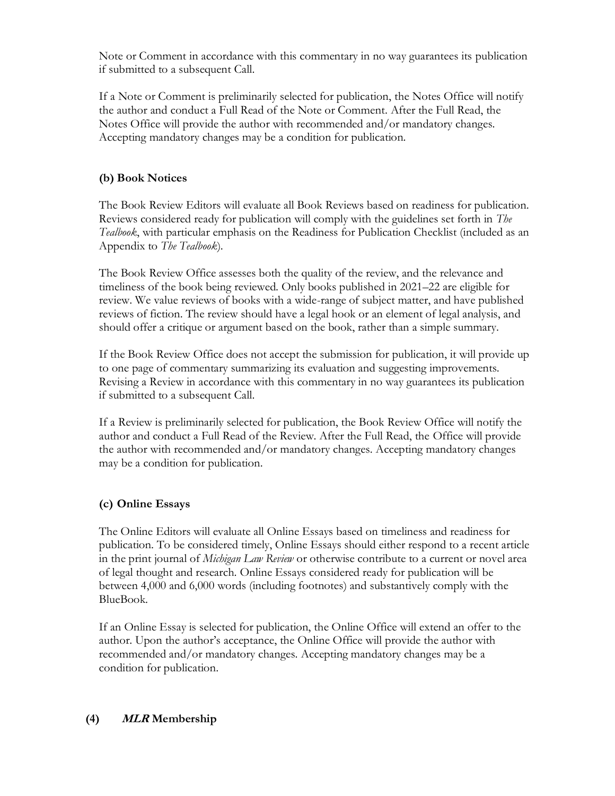Note or Comment in accordance with this commentary in no way guarantees its publication if submitted to a subsequent Call.

If a Note or Comment is preliminarily selected for publication, the Notes Office will notify the author and conduct a Full Read of the Note or Comment. After the Full Read, the Notes Office will provide the author with recommended and/or mandatory changes. Accepting mandatory changes may be a condition for publication.

# **(b) Book Notices**

The Book Review Editors will evaluate all Book Reviews based on readiness for publication. Reviews considered ready for publication will comply with the guidelines set forth in *The Tealbook*, with particular emphasis on the Readiness for Publication Checklist (included as an Appendix to *The Tealbook*).

The Book Review Office assesses both the quality of the review, and the relevance and timeliness of the book being reviewed. Only books published in 2021–22 are eligible for review. We value reviews of books with a wide-range of subject matter, and have published reviews of fiction. The review should have a legal hook or an element of legal analysis, and should offer a critique or argument based on the book, rather than a simple summary.

If the Book Review Office does not accept the submission for publication, it will provide up to one page of commentary summarizing its evaluation and suggesting improvements. Revising a Review in accordance with this commentary in no way guarantees its publication if submitted to a subsequent Call.

If a Review is preliminarily selected for publication, the Book Review Office will notify the author and conduct a Full Read of the Review. After the Full Read, the Office will provide the author with recommended and/or mandatory changes. Accepting mandatory changes may be a condition for publication.

#### **(c) Online Essays**

The Online Editors will evaluate all Online Essays based on timeliness and readiness for publication. To be considered timely, Online Essays should either respond to a recent article in the print journal of *Michigan Law Review* or otherwise contribute to a current or novel area of legal thought and research. Online Essays considered ready for publication will be between 4,000 and 6,000 words (including footnotes) and substantively comply with the BlueBook.

If an Online Essay is selected for publication, the Online Office will extend an offer to the author. Upon the author's acceptance, the Online Office will provide the author with recommended and/or mandatory changes. Accepting mandatory changes may be a condition for publication.

#### **(4) MLR Membership**